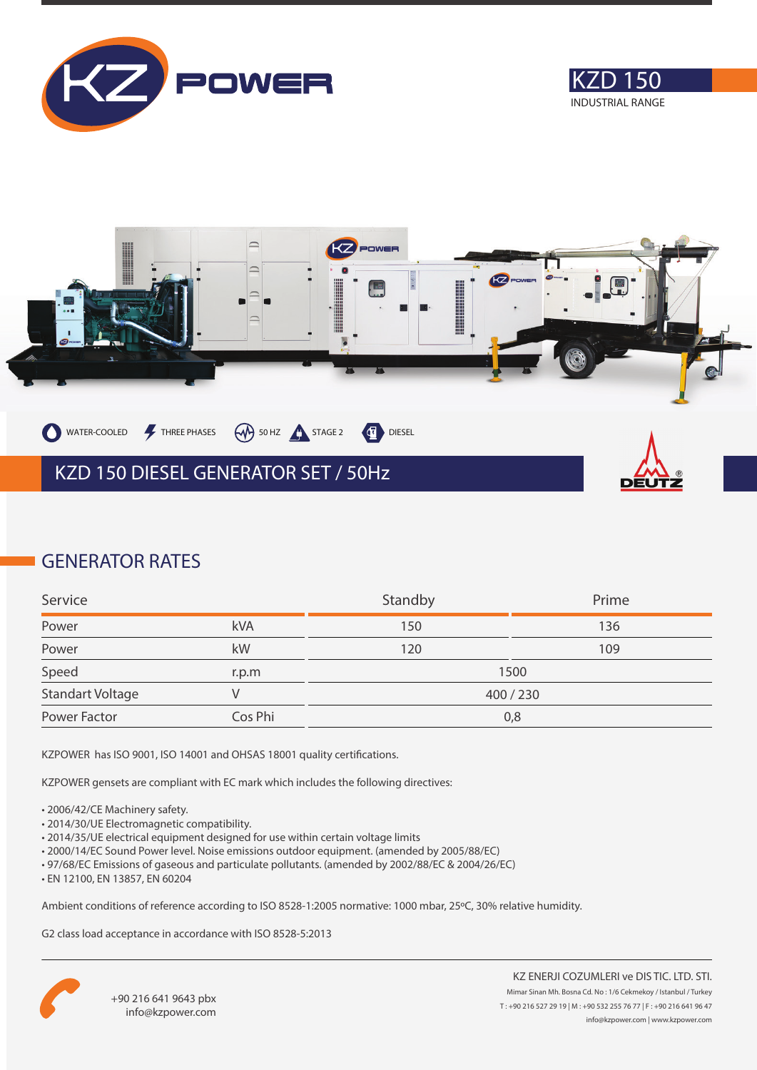





### **GENERATOR RATES**

| Service          |         | Standby | Prime |
|------------------|---------|---------|-------|
| Power            | kVA     | 150     | 136   |
| Power            | kW      | 120     | 109   |
| Speed            | r.p.m   |         | 1500  |
| Standart Voltage |         | 400/230 |       |
| Power Factor     | Cos Phi |         | 0,8   |

KZPOWER has ISO 9001, ISO 14001 and OHSAS 18001 quality certifications.

KZPOWER gensets are compliant with EC mark which includes the following directives:

- 2006/42/CE Machinery safety.
- 2014/30/UE Electromagnetic compatibility.
- 2014/35/UE electrical equipment designed for use within certain voltage limits
- 2000/14/EC Sound Power level. Noise emissions outdoor equipment. (amended by 2005/88/EC)
- 97/68/EC Emissions of gaseous and particulate pollutants. (amended by 2002/88/EC & 2004/26/EC)
- EN 12100, EN 13857, EN 60204

Ambient conditions of reference according to ISO 8528-1:2005 normative: 1000 mbar, 25ºC, 30% relative humidity.

G2 class load acceptance in accordance with ISO 8528-5:2013

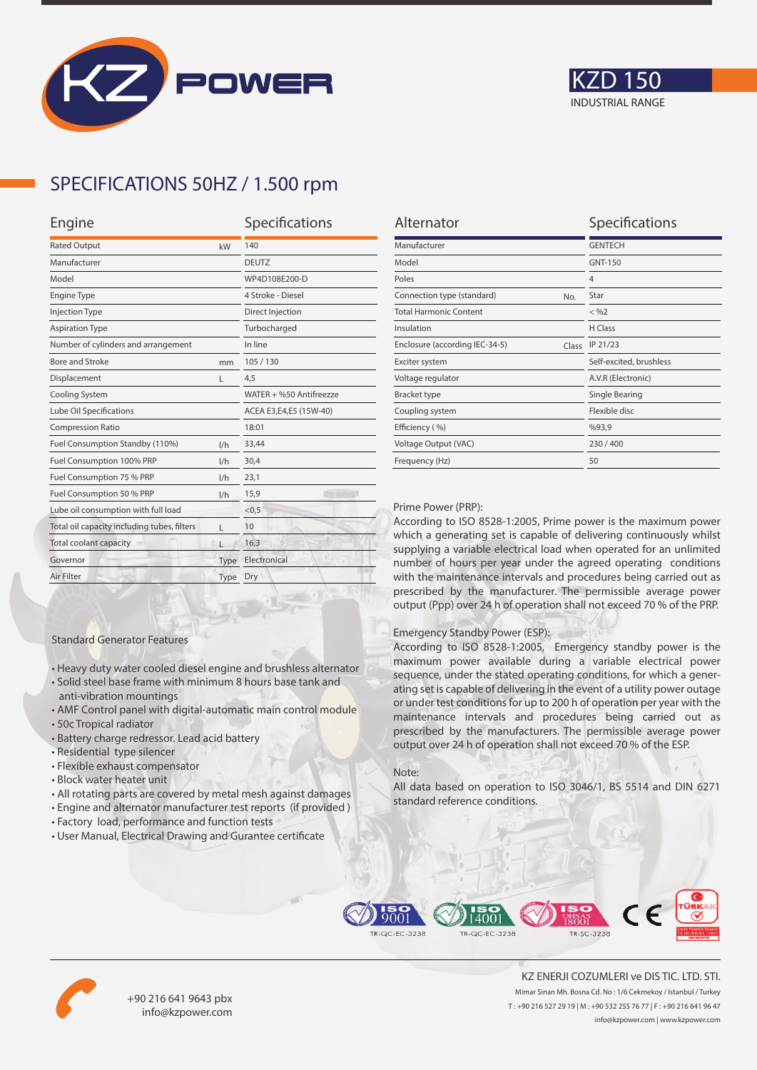



## **SPECIFICATIONS 50HZ / 1.500 rpm**

| Engine                                           |                   |  |
|--------------------------------------------------|-------------------|--|
| <b>Rated Output</b><br>kW                        |                   |  |
| Manufacturer                                     |                   |  |
|                                                  | WP4D108E200-D     |  |
|                                                  | 4 Stroke - Diesel |  |
|                                                  | Direct Injection  |  |
|                                                  | Turbocharged      |  |
| Number of cylinders and arrangement              |                   |  |
| mm                                               | 105/130           |  |
| L                                                | 4,5               |  |
| Cooling System                                   |                   |  |
| Lube Oil Specifications                          |                   |  |
|                                                  | 18:01             |  |
| 1/h                                              | 33,44             |  |
| 1/h                                              | 30.4              |  |
| 1/h                                              | 23,1              |  |
| 1/h                                              | 15,9              |  |
| Lube oil consumption with full load              |                   |  |
| Total oil capacity including tubes, filters<br>г |                   |  |
|                                                  | 16,3              |  |
| Type                                             | Electronical      |  |
| Type                                             | Dry               |  |
|                                                  |                   |  |

| Alternator                              | Specifications          |
|-----------------------------------------|-------------------------|
| Manufacturer                            | <b>GENTECH</b>          |
| Model                                   | GNT-150                 |
| Poles                                   | $\overline{4}$          |
| Connection type (standard)<br>No.       | Star                    |
| <b>Total Harmonic Content</b>           | $<$ %2                  |
| Insulation                              | H Class                 |
| Enclosure (according IEC-34-5)<br>Class | IP 21/23                |
| Exciter system                          | Self-excited, brushless |
| Voltage regulator                       | A.V.R (Electronic)      |
| <b>Bracket type</b>                     | Single Bearing          |
| Coupling system                         | Flexible disc           |
| Efficiency (%)                          | %93,9                   |
| Voltage Output (VAC)                    | 230/400                 |
| Frequency (Hz)                          | 50                      |

#### Prime Power (PRP):

According to ISO 8528-1:2005, Prime power is the maximum power which a generating set is capable of delivering continuously whilst supplying a variable electrical load when operated for an unlimited number of hours per year under the agreed operating conditions with the maintenance intervals and procedures being carried out as prescribed by the manufacturer. The permissible average power output (Ppp) over 24 h of operation shall not exceed 70 % of the PRP.

#### Emergency Standby Power (ESP):

According to ISO 8528-1:2005, Emergency standby power is the maximum power available during a variable electrical power sequence, under the stated operating conditions, for which a generating set is capable of delivering in the event of a utility power outage or under test conditions for up to 200 h of operation per year with the maintenance intervals and procedures being carried out as prescribed by the manufacturers. The permissible average power output over 24 h of operation shall not exceed 70 % of the ESP.

#### Note:

All data based on operation to ISO 3046/1, BS 5514 and DIN 6271 standard reference conditions.



• All rotating parts are covered by metal mesh against damages • Engine and alternator manufacturer test reports (if provided )

• Heavy duty water cooled diesel engine and brushless alternator • Solid steel base frame with minimum 8 hours base tank and

• AMF Control panel with digital-automatic main control module

Standard Generator Features

anti-vibration mountings

• Residential type silencer • Flexible exhaust compensator • Block water heater unit

• Battery charge redressor. Lead acid battery

• 50c Tropical radiator

• User Manual, Electrical Drawing and Gurantee certificate





+90 216 641 9643 pbx info@kzpower.com

KZ ENERJI COZUMLERI ve DIS TIC. LTD. STI. Mimar Sinan Mh. Bosna Cd. No : 1/6 Cekmekoy / Istanbul / Turkey T : +90 216 527 29 19 | M : +90 532 255 76 77 | F : +90 216 641 96 47 info@kzpower.com | www.kzpower.com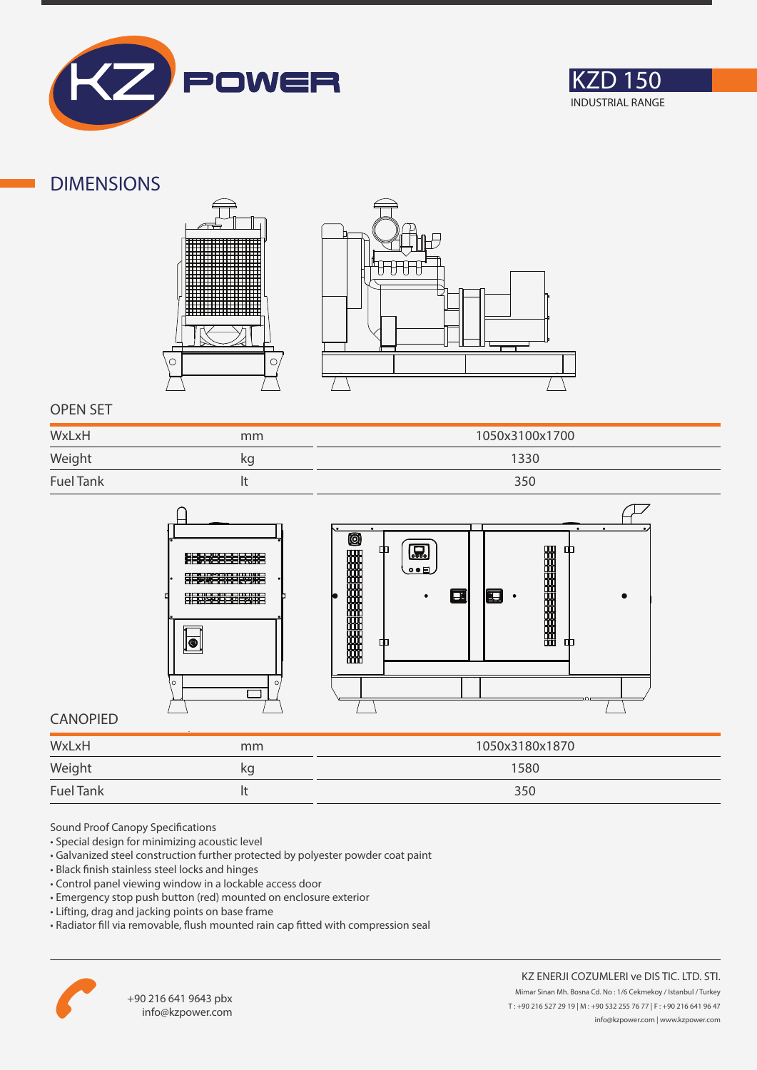



### **DIMENSIONS**





### **OPEN SET**

| WxLxH            | mm | 1050x3100x1700 |
|------------------|----|----------------|
| Weight           | kq | 1330           |
| <b>Fuel Tank</b> |    | 350            |



### **CANOPIED**

| WxLxH                                                  | mm | 1050x3180x1870 |
|--------------------------------------------------------|----|----------------|
| Weight<br>the control of the control of the control of | κg | 1580           |
| <b>Fuel Tank</b>                                       |    | 350            |

Sound Proof Canopy Specifications

- Special design for minimizing acoustic level
- Galvanized steel construction further protected by polyester powder coat paint
- Black finish stainless steel locks and hinges
- Control panel viewing window in a lockable access door
- Emergency stop push button (red) mounted on enclosure exterior
- Lifting, drag and jacking points on base frame
- Radiator fill via removable, flush mounted rain cap fitted with compression seal